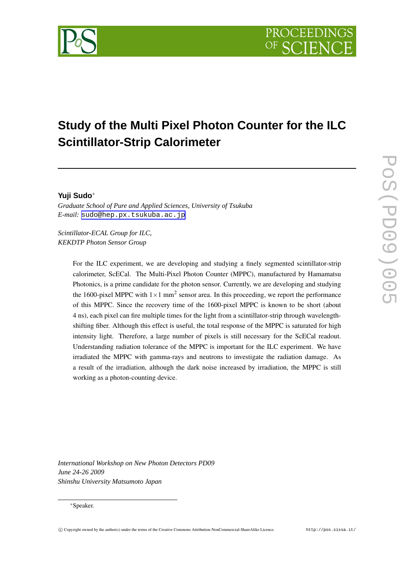# **Study of the Multi Pixel Photon Counter for the ILC Scintillator-Strip Calorimeter**

# **Yuji Sudo**<sup>∗</sup>

*Graduate School of Pure and Applied Sciences, University of Tsukuba E-mail:* [sudo@hep.px.tsukuba.ac.jp](mailto:sudo@hep.px.tsukuba.ac.jp)

*Scintillator-ECAL Group for ILC, KEKDTP Photon Sensor Group*

> For the ILC experiment, we are developing and studying a finely segmented scintillator-strip calorimeter, ScECal. The Multi-Pixel Photon Counter (MPPC), manufactured by Hamamatsu Photonics, is a prime candidate for the photon sensor. Currently, we are developing and studying the 1600-pixel MPPC with  $1 \times 1$  mm<sup>2</sup> sensor area. In this proceeding, we report the performance of this MPPC. Since the recovery time of the 1600-pixel MPPC is known to be short (about 4 ns), each pixel can fire multiple times for the light from a scintillator-strip through wavelengthshifting fiber. Although this effect is useful, the total response of the MPPC is saturated for high intensity light. Therefore, a large number of pixels is still necessary for the ScECal readout. Understanding radiation tolerance of the MPPC is important for the ILC experiment. We have irradiated the MPPC with gamma-rays and neutrons to investigate the radiation damage. As a result of the irradiation, although the dark noise increased by irradiation, the MPPC is still working as a photon-counting device.

*International Workshop on New Photon Detectors PD09 June 24-26 2009 Shinshu University Matsumoto Japan*

#### <sup>∗</sup>Speaker.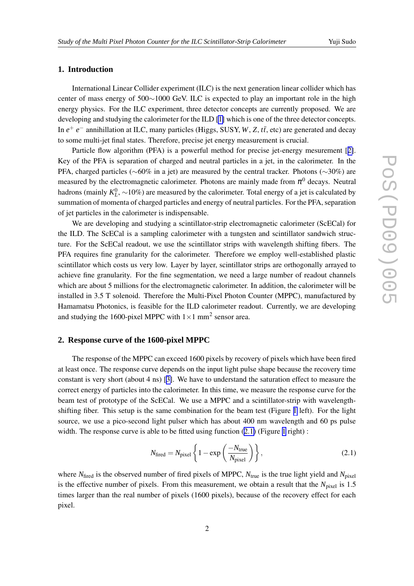## <span id="page-1-0"></span>**1. Introduction**

International Linear Collider experiment (ILC) is the next generation linear collider which has center of mass energy of 500∼1000 GeV. ILC is expected to play an important role in the high energy physics. For the ILC experiment, three detector concepts are currently proposed. We are developing and studying the calorimeter for the ILD [[1\]](#page-5-0) which is one of the three detector concepts. In *e* <sup>+</sup> *e* <sup>−</sup> annihillation at ILC, many particles (Higgs, SUSY, *W*, *Z*, *tt*¯, etc) are generated and decay to some multi-jet final states. Therefore, precise jet energy measurement is crucial.

Particle flow algorithm (PFA) is a powerful method for precise jet-energy mesurement [[2\]](#page-5-0). Key of the PFA is separation of charged and neutral particles in a jet, in the calorimeter. In the PFA, charged particles (~60% in a jet) are measured by the central tracker. Photons (~30%) are measured by the electromagnetic calorimeter. Photons are mainly made from  $\pi^0$  decays. Neutral hadrons (mainly  $K_L^0$ , ~10%) are measured by the calorimeter. Total energy of a jet is calculated by summation of momenta of charged particles and energy of neutral particles. For the PFA, separation of jet particles in the calorimeter is indispensable.

We are developing and studying a scintillator-strip electromagnetic calorimeter (ScECal) for the ILD. The ScECal is a sampling calorimeter with a tungsten and scintillator sandwich structure. For the ScECal readout, we use the scintillator strips with wavelength shifting fibers. The PFA requires fine granularity for the calorimeter. Therefore we employ well-established plastic scintillator which costs us very low. Layer by layer, scintillator strips are orthogonally arrayed to achieve fine granularity. For the fine segmentation, we need a large number of readout channels which are about 5 millions for the electromagnetic calorimeter. In addition, the calorimeter will be installed in 3.5 T solenoid. Therefore the Multi-Pixel Photon Counter (MPPC), manufactured by Hamamatsu Photonics, is feasible for the ILD calorimeter readout. Currently, we are developing and studying the 1600-pixel MPPC with  $1 \times 1$  mm<sup>2</sup> sensor area.

### **2. Response curve of the 1600-pixel MPPC**

The response of the MPPC can exceed 1600 pixels by recovery of pixels which have been fired at least once. The response curve depends on the input light pulse shape because the recovery time constant is very short (about 4 ns) [[3\]](#page-5-0). We have to understand the saturation effect to measure the correct energy of particles into the calorimeter. In this time, we measure the response curve for the beam test of prototype of the ScECal. We use a MPPC and a scintillator-strip with wavelengthshifting fiber. This setup is the same combination for the beam test (Figure [1](#page-2-0) left). For the light source, we use a pico-second light pulser which has about 400 nm wavelength and 60 ps pulse width. The response curve is able to be fitted using function  $(2.1)$  $(2.1)$  $(2.1)$  (Figure 1 right):

$$
N_{\text{fired}} = N_{\text{pixel}} \left\{ 1 - \exp\left(\frac{-N_{\text{true}}}{N_{\text{pixel}}}\right) \right\},\tag{2.1}
$$

where  $N_{\text{fired}}$  is the observed number of fired pixels of MPPC,  $N_{\text{true}}$  is the true light yield and  $N_{\text{pixel}}$ is the effective number of pixels. From this measurement, we obtain a result that the  $N_{pixel}$  is 1.5 times larger than the real number of pixels (1600 pixels), because of the recovery effect for each pixel.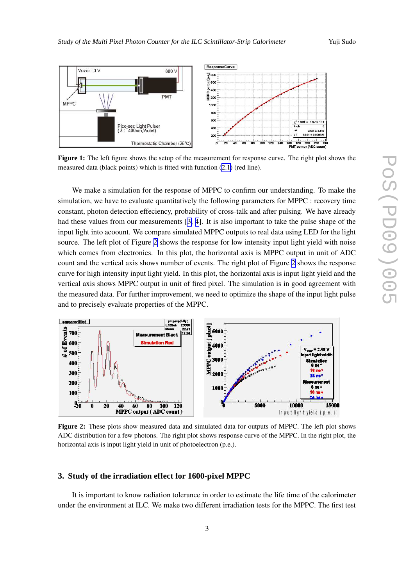<span id="page-2-0"></span>

**Figure 1:** The left figure shows the setup of the measurement for response curve. The right plot shows the measured data (black points) which is fitted with function ([2.1](#page-1-0)) (red line).

We make a simulation for the response of MPPC to confirm our understanding. To make the simulation, we have to evaluate quantitatively the following parameters for MPPC : recovery time constant, photon detection effeciency, probability of cross-talk and after pulsing. We have already had these values from our measurements [\[3,](#page-5-0) [4\]](#page-5-0). It is also important to take the pulse shape of the input light into acoount. We compare simulated MPPC outputs to real data using LED for the light source. The left plot of Figure 2 shows the response for low intensity input light yield with noise which comes from electronics. In this plot, the horizontal axis is MPPC output in unit of ADC count and the vertical axis shows number of events. The right plot of Figure 2 shows the response curve for high intensity input light yield. In this plot, the horizontal axis is input light yield and the vertical axis shows MPPC output in unit of fired pixel. The simulation is in good agreement with the measured data. For further improvement, we need to optimize the shape of the input light pulse and to precisely evaluate properties of the MPPC.



**Figure 2:** These plots show measured data and simulated data for outputs of MPPC. The left plot shows ADC distribution for a few photons. The right plot shows response curve of the MPPC. In the right plot, the horizontal axis is input light yield in unit of photoelectron (p.e.).

#### **3. Study of the irradiation effect for 1600-pixel MPPC**

It is important to know radiation tolerance in order to estimate the life time of the calorimeter under the environment at ILC. We make two different irradiation tests for the MPPC. The first test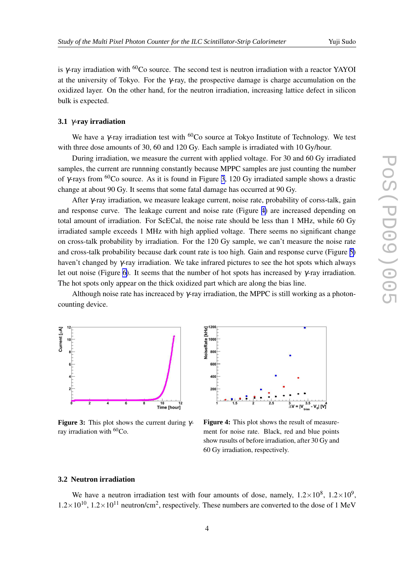is  $\gamma$ -ray irradiation with <sup>60</sup>Co source. The second test is neutron irradiation with a reactor YAYOI at the university of Tokyo. For the γ-ray, the prospective damage is charge accumulation on the oxidized layer. On the other hand, for the neutron irradiation, increasing lattice defect in silicon bulk is expected.

### **3.1** γ**-ray irradiation**

We have a γ-ray irradiation test with  ${}^{60}Co$  source at Tokyo Institute of Technology. We test with three dose amounts of 30, 60 and 120 Gy. Each sample is irradiated with 10 Gy/hour.

During irradiation, we measure the current with applied voltage. For 30 and 60 Gy irradiated samples, the current are runnning constantly because MPPC samples are just counting the number of γ-rays from <sup>60</sup>Co source. As it is found in Figure 3, 120 Gy irradiated sample shows a drastic change at about 90 Gy. It seems that some fatal damage has occurred at 90 Gy.

After γ-ray irradiation, we measure leakage current, noise rate, probability of corss-talk, gain and response curve. The leakage current and noise rate (Figure 4) are increased depending on total amount of irradiation. For ScECal, the noise rate should be less than 1 MHz, while 60 Gy irradiated sample exceeds 1 MHz with high applied voltage. There seems no significant change on cross-talk probability by irradiation. For the 120 Gy sample, we can't measure the noise rate and cross-talk probability because dark count rate is too high. Gain and response curve (Figure [5\)](#page-4-0) haven't changed by γ-ray irradiation. We take infrared pictures to see the hot spots which always let out noise (Figure [6\)](#page-4-0). It seems that the number of hot spots has increased by γ-ray irradiation. The hot spots only appear on the thick oxidized part which are along the bias line.

Although noise rate has increaced by  $\gamma$ -ray irradiation, the MPPC is still working as a photoncounting device.



**Figure 3:** This plot shows the current during γray irradiation with  ${}^{60}Co$ .



**Figure 4:** This plot shows the result of measurement for noise rate. Black, red and blue points show rusults of before irradiation, after 30 Gy and 60 Gy irradiation, respectively.

#### **3.2 Neutron irradiation**

We have a neutron irradiation test with four amounts of dose, namely,  $1.2 \times 10^8$ ,  $1.2 \times 10^9$ ,  $1.2 \times 10^{10}$ ,  $1.2 \times 10^{11}$  neutron/cm<sup>2</sup>, respectively. These numbers are converted to the dose of 1 MeV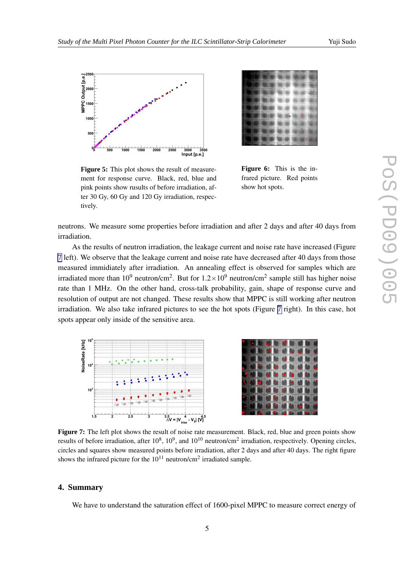<span id="page-4-0"></span>

**Figure 5:** This plot shows the result of measurement for response curve. Black, red, blue and pink points show rusults of before irradiation, after 30 Gy, 60 Gy and 120 Gy irradiation, respectively.

**Figure 6:** This is the infrared picture. Red points

show hot spots.

neutrons. We measure some properties before irradiation and after 2 days and after 40 days from irradiation.

As the results of neutron irradiation, the leakage current and noise rate have increased (Figure 7 left). We observe that the leakage current and noise rate have decreased after 40 days from those measured immidiately after irradiation. An annealing effect is observed for samples which are irradiated more than 10<sup>9</sup> neutron/cm<sup>2</sup>. But for  $1.2 \times 10^9$  neutron/cm<sup>2</sup> sample still has higher noise rate than 1 MHz. On the other hand, cross-talk probability, gain, shape of response curve and resolution of output are not changed. These results show that MPPC is still working after neutron irradiation. We also take infrared pictures to see the hot spots (Figure 7 right). In this case, hot spots appear only inside of the sensitive area.





**Figure** 7: The left plot shows the result of noise rate measurement. Black, red, blue and green points show results of before irradiation, after  $10^8$ ,  $10^9$ , and  $10^{10}$  neutron/cm<sup>2</sup> irradiation, respectively. Opening circles, circles and squares show measured points before irradiation, after 2 days and after 40 days. The right figure shows the infrared picture for the  $10^{11}$  neutron/cm<sup>2</sup> irradiated sample.

#### **4. Summary**

We have to understand the saturation effect of 1600-pixel MPPC to measure correct energy of